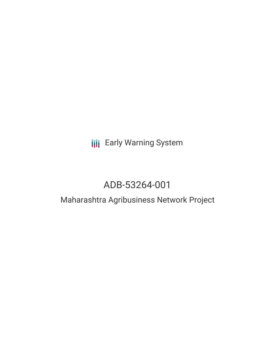## **III** Early Warning System

# ADB-53264-001

### Maharashtra Agribusiness Network Project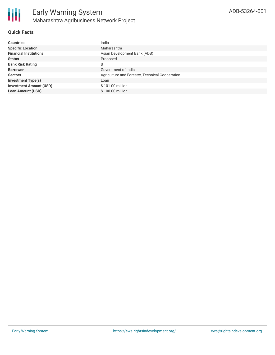#### **Quick Facts**

| <b>Countries</b>               | India                                           |
|--------------------------------|-------------------------------------------------|
| <b>Specific Location</b>       | Maharashtra                                     |
| <b>Financial Institutions</b>  | Asian Development Bank (ADB)                    |
| <b>Status</b>                  | Proposed                                        |
| <b>Bank Risk Rating</b>        | B                                               |
| <b>Borrower</b>                | Government of India                             |
| <b>Sectors</b>                 | Agriculture and Forestry, Technical Cooperation |
| <b>Investment Type(s)</b>      | Loan                                            |
| <b>Investment Amount (USD)</b> | \$101.00 million                                |
| <b>Loan Amount (USD)</b>       | \$100.00 million                                |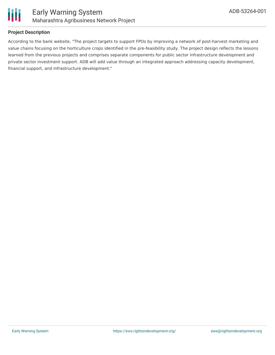

#### **Project Description**

According to the bank website, "The project targets to support FPOs by improving a network of post-harvest marketing and value chains focusing on the horticulture crops identified in the pre-feasibility study. The project design reflects the lessons learned from the previous projects and comprises separate components for public sector infrastructure development and private sector investment support. ADB will add value through an integrated approach addressing capacity development, financial support, and infrastructure development."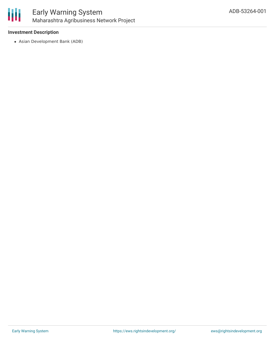

#### **Investment Description**

Asian Development Bank (ADB)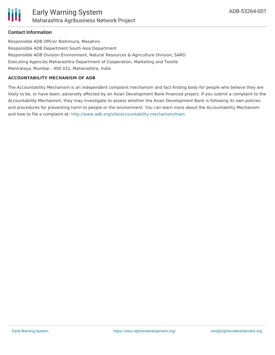

#### **Contact Information**

Responsible ADB Officer Nishimura, Masahiro Responsible ADB Department South Asia Department Responsible ADB Division Environment, Natural Resources & Agriculture Division, SARD Executing Agencies Maharashtra Department of Cooperation, Marketing and Textile Mantralaya, Mumbai - 400 032, Maharashtra, India

#### **ACCOUNTABILITY MECHANISM OF ADB**

The Accountability Mechanism is an independent complaint mechanism and fact-finding body for people who believe they are likely to be, or have been, adversely affected by an Asian Development Bank-financed project. If you submit a complaint to the Accountability Mechanism, they may investigate to assess whether the Asian Development Bank is following its own policies and procedures for preventing harm to people or the environment. You can learn more about the Accountability Mechanism and how to file a complaint at: <http://www.adb.org/site/accountability-mechanism/main>